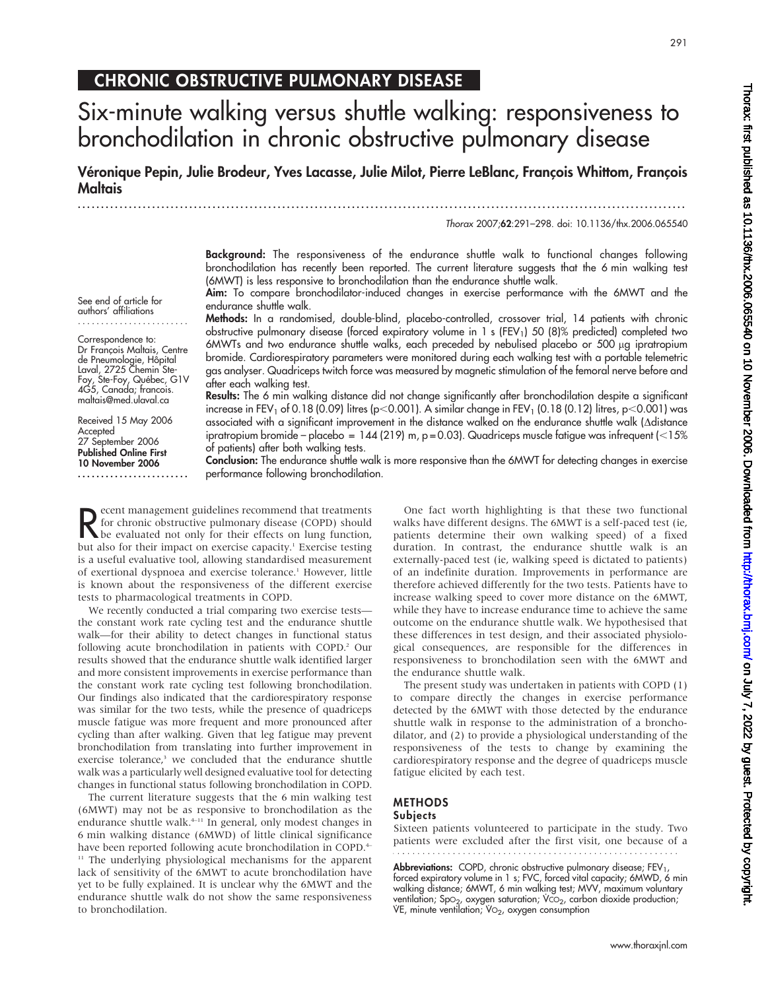Thorax: first published as 10.1136/thx.2006.065540 on 10 November 2006. Downloaded from http://thorax.bmj.com/ on July 7, 2022 by guest. Protected by copyright Thorax: first published as 10.1136/thx.2006.065540 on 10 Nuly 1, 2022 by guest. Protected as 10.1136. Protected by copyright. Protected by copyright.

# CHRONIC OBSTRUCTIVE PULMONARY DISEASE

# Six-minute walking versus shuttle walking: responsiveness to bronchodilation in chronic obstructive pulmonary disease

Véronique Pepin, Julie Brodeur, Yves Lacasse, Julie Milot, Pierre LeBlanc, Francois Whittom, Francois Maltais

...................................................................................................................................

Thorax 2007;62:291–298. doi: 10.1136/thx.2006.065540

Background: The responsiveness of the endurance shuttle walk to functional changes following bronchodilation has recently been reported. The current literature suggests that the 6 min walking test (6MWT) is less responsive to bronchodilation than the endurance shuttle walk.

Aim: To compare bronchodilator-induced changes in exercise performance with the 6MWT and the endurance shuttle walk.

Methods: In a randomised, double-blind, placebo-controlled, crossover trial, 14 patients with chronic obstructive pulmonary disease (forced expiratory volume in 1 s (FEV<sub>1</sub>) 50 (8)% predicted) completed two 6MWTs and two endurance shuttle walks, each preceded by nebulised placebo or 500 µg ipratropium bromide. Cardiorespiratory parameters were monitored during each walking test with a portable telemetric gas analyser. Quadriceps twitch force was measured by magnetic stimulation of the femoral nerve before and after each walking test.

Results: The 6 min walking distance did not change significantly after bronchodilation despite a significant increase in FEV<sub>1</sub> of 0.18 (0.09) litres (p<0.001). A similar change in FEV<sub>1</sub> (0.18 (0.12) litres, p<0.001) was associated with a significant improvement in the distance walked on the endurance shuttle walk (Ddistance ipratropium bromide – placebo = 144 (219) m,  $p = 0.03$ . Quadriceps muscle fatigue was infrequent ( $\leq 15\%$ of patients) after both walking tests.

Conclusion: The endurance shuttle walk is more responsive than the 6MWT for detecting changes in exercise performance following bronchodilation.

**R** ecent management guidelines recommend that treatments<br>for chronic obstructive pulmonary disease (COPD) should<br>but else for their effects on lung function, ecent management guidelines recommend that treatments for chronic obstructive pulmonary disease (COPD) should but also for their impact on exercise capacity.<sup>1</sup> Exercise testing is a useful evaluative tool, allowing standardised measurement of exertional dyspnoea and exercise tolerance.<sup>1</sup> However, little is known about the responsiveness of the different exercise tests to pharmacological treatments in COPD.

We recently conducted a trial comparing two exercise tests the constant work rate cycling test and the endurance shuttle walk—for their ability to detect changes in functional status following acute bronchodilation in patients with COPD.<sup>2</sup> Our results showed that the endurance shuttle walk identified larger and more consistent improvements in exercise performance than the constant work rate cycling test following bronchodilation. Our findings also indicated that the cardiorespiratory response was similar for the two tests, while the presence of quadriceps muscle fatigue was more frequent and more pronounced after cycling than after walking. Given that leg fatigue may prevent bronchodilation from translating into further improvement in exercise tolerance,<sup>3</sup> we concluded that the endurance shuttle walk was a particularly well designed evaluative tool for detecting changes in functional status following bronchodilation in COPD.

The current literature suggests that the 6 min walking test (6MWT) may not be as responsive to bronchodilation as the endurance shuttle walk.<sup>4-11</sup> In general, only modest changes in 6 min walking distance (6MWD) of little clinical significance have been reported following acute bronchodilation in COPD.<sup>4–</sup> <sup>11</sup> The underlying physiological mechanisms for the apparent lack of sensitivity of the 6MWT to acute bronchodilation have yet to be fully explained. It is unclear why the 6MWT and the endurance shuttle walk do not show the same responsiveness to bronchodilation.

One fact worth highlighting is that these two functional walks have different designs. The 6MWT is a self-paced test (ie, patients determine their own walking speed) of a fixed duration. In contrast, the endurance shuttle walk is an externally-paced test (ie, walking speed is dictated to patients) of an indefinite duration. Improvements in performance are therefore achieved differently for the two tests. Patients have to increase walking speed to cover more distance on the 6MWT, while they have to increase endurance time to achieve the same outcome on the endurance shuttle walk. We hypothesised that these differences in test design, and their associated physiological consequences, are responsible for the differences in responsiveness to bronchodilation seen with the 6MWT and the endurance shuttle walk.

The present study was undertaken in patients with COPD (1) to compare directly the changes in exercise performance detected by the 6MWT with those detected by the endurance shuttle walk in response to the administration of a bronchodilator, and (2) to provide a physiological understanding of the responsiveness of the tests to change by examining the cardiorespiratory response and the degree of quadriceps muscle fatigue elicited by each test.

#### METHODS **Subjects**

Sixteen patients volunteered to participate in the study. Two patients were excluded after the first visit, one because of a

Abbreviations: COPD, chronic obstructive pulmonary disease; FEV<sub>1</sub>, forced expiratory volume in 1 s; FVC, forced vital capacity; 6MWD, 6 min walking distance; 6MWT, 6 min walking test; MVV, maximum voluntary ventilation; SpO<sub>2</sub>, oxygen saturation; VCO<sub>2</sub>, carbon dioxide production; VE, minute ventilation;  $VO<sub>2</sub>$ , oxygen consumption

See end of article for authors' affiliations ........................

Correspondence to: Dr François Maltais, Centre de Pneumologie, Hôpital Laval, 2725 Chemin Ste-Foy, Ste-Foy, Québec, G1V 4G5, Canada; francois. maltais@med.ulaval.ca

Received 15 May 2006 Accepted 27 September 2006 Published Online First 10 November 2006 ........................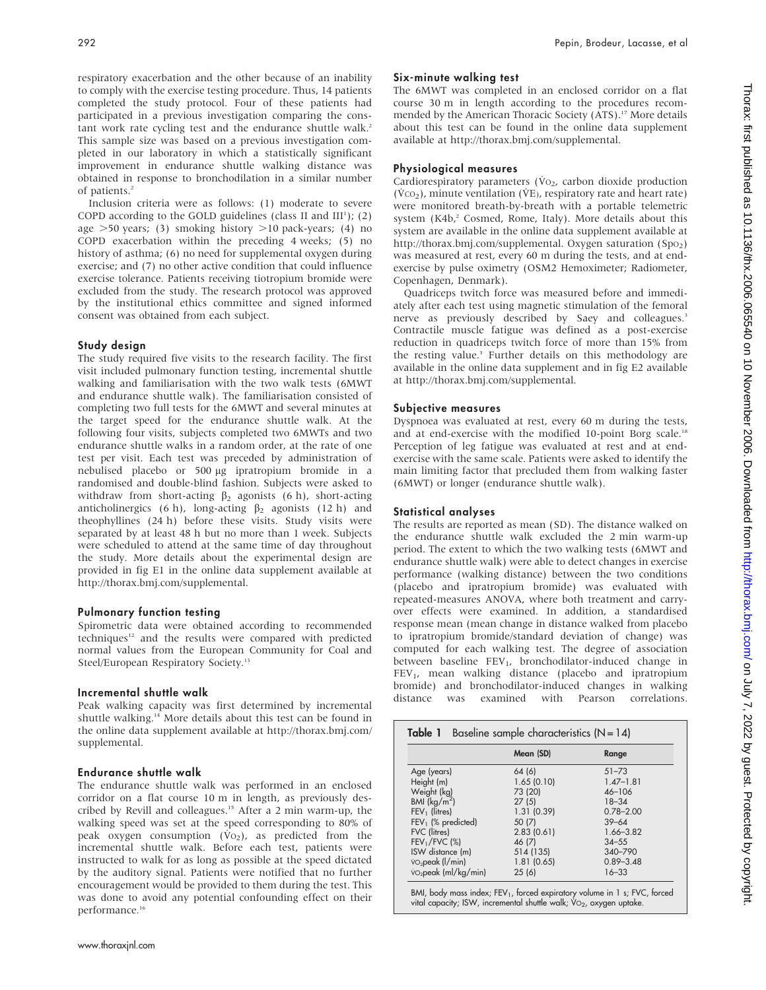respiratory exacerbation and the other because of an inability to comply with the exercise testing procedure. Thus, 14 patients completed the study protocol. Four of these patients had participated in a previous investigation comparing the constant work rate cycling test and the endurance shuttle walk.<sup>2</sup> This sample size was based on a previous investigation completed in our laboratory in which a statistically significant improvement in endurance shuttle walking distance was obtained in response to bronchodilation in a similar number of patients.<sup>2</sup>

Inclusion criteria were as follows: (1) moderate to severe COPD according to the GOLD guidelines (class II and  $III<sup>1</sup>$ ); (2) age  $>50$  years; (3) smoking history  $>10$  pack-years; (4) no COPD exacerbation within the preceding 4 weeks; (5) no history of asthma; (6) no need for supplemental oxygen during exercise; and (7) no other active condition that could influence exercise tolerance. Patients receiving tiotropium bromide were excluded from the study. The research protocol was approved by the institutional ethics committee and signed informed consent was obtained from each subject.

### Study design

The study required five visits to the research facility. The first visit included pulmonary function testing, incremental shuttle walking and familiarisation with the two walk tests (6MWT and endurance shuttle walk). The familiarisation consisted of completing two full tests for the 6MWT and several minutes at the target speed for the endurance shuttle walk. At the following four visits, subjects completed two 6MWTs and two endurance shuttle walks in a random order, at the rate of one test per visit. Each test was preceded by administration of nebulised placebo or 500 µg ipratropium bromide in a randomised and double-blind fashion. Subjects were asked to withdraw from short-acting  $\beta_2$  agonists (6 h), short-acting anticholinergics (6 h), long-acting  $\beta_2$  agonists (12 h) and theophyllines (24 h) before these visits. Study visits were separated by at least 48 h but no more than 1 week. Subjects were scheduled to attend at the same time of day throughout the study. More details about the experimental design are provided in fig E1 in the online data supplement available at http://thorax.bmj.com/supplemental.

## Pulmonary function testing

Spirometric data were obtained according to recommended techniques<sup>12</sup> and the results were compared with predicted normal values from the European Community for Coal and Steel/European Respiratory Society.13

#### Incremental shuttle walk

Peak walking capacity was first determined by incremental shuttle walking.<sup>14</sup> More details about this test can be found in the online data supplement available at http://thorax.bmj.com/ supplemental.

## Endurance shuttle walk

The endurance shuttle walk was performed in an enclosed corridor on a flat course 10 m in length, as previously described by Revill and colleagues.15 After a 2 min warm-up, the walking speed was set at the speed corresponding to 80% of peak oxygen consumption  $(\dot{V}o_2)$ , as predicted from the incremental shuttle walk. Before each test, patients were instructed to walk for as long as possible at the speed dictated by the auditory signal. Patients were notified that no further encouragement would be provided to them during the test. This was done to avoid any potential confounding effect on their performance.<sup>16</sup>

### Six-minute walking test

The 6MWT was completed in an enclosed corridor on a flat course 30 m in length according to the procedures recommended by the American Thoracic Society (ATS).<sup>17</sup> More details about this test can be found in the online data supplement available at http://thorax.bmj.com/supplemental.

## Physiological measures

Cardiorespiratory parameters ( $\dot{V}$ O<sub>2</sub>, carbon dioxide production  $(\dot{V}CO<sub>2</sub>)$ , minute ventilation ( $\dot{V}E$ ), respiratory rate and heart rate) were monitored breath-by-breath with a portable telemetric system (K4b,<sup>2</sup> Cosmed, Rome, Italy). More details about this system are available in the online data supplement available at http://thorax.bmj.com/supplemental. Oxygen saturation  $(Spo<sub>2</sub>)$ was measured at rest, every 60 m during the tests, and at endexercise by pulse oximetry (OSM2 Hemoximeter; Radiometer, Copenhagen, Denmark).

Quadriceps twitch force was measured before and immediately after each test using magnetic stimulation of the femoral nerve as previously described by Saey and colleagues.<sup>3</sup> Contractile muscle fatigue was defined as a post-exercise reduction in quadriceps twitch force of more than 15% from the resting value.<sup>3</sup> Further details on this methodology are available in the online data supplement and in fig E2 available at http://thorax.bmj.com/supplemental.

### Subjective measures

Dyspnoea was evaluated at rest, every 60 m during the tests, and at end-exercise with the modified 10-point Borg scale.<sup>18</sup> Perception of leg fatigue was evaluated at rest and at endexercise with the same scale. Patients were asked to identify the main limiting factor that precluded them from walking faster (6MWT) or longer (endurance shuttle walk).

#### Statistical analyses

The results are reported as mean (SD). The distance walked on the endurance shuttle walk excluded the 2 min warm-up period. The extent to which the two walking tests (6MWT and endurance shuttle walk) were able to detect changes in exercise performance (walking distance) between the two conditions (placebo and ipratropium bromide) was evaluated with repeated-measures ANOVA, where both treatment and carryover effects were examined. In addition, a standardised response mean (mean change in distance walked from placebo to ipratropium bromide/standard deviation of change) was computed for each walking test. The degree of association between baseline FEV<sub>1</sub>, bronchodilator-induced change in FEV<sub>1</sub>, mean walking distance (placebo and ipratropium bromide) and bronchodilator-induced changes in walking distance was examined with Pearson correlations.

|                                              | Mean (SD)  | Range         |
|----------------------------------------------|------------|---------------|
| Age (years)                                  | 64 (6)     | $51 - 73$     |
| Height (m)                                   | 1.65(0.10) | $1.47 - 1.81$ |
| Weight (kg)                                  | 73 (20)    | $46 - 106$    |
| BMI $(kq/m^2)$                               | 27(5)      | $18 - 34$     |
| $FEV1$ (litres)                              | 1.31(0.39) | $0.78 - 2.00$ |
| $FEV1$ (% predicted)                         | 50 (7)     | $39 - 64$     |
| <b>FVC</b> (litres)                          | 2.83(0.61) | $1.66 - 3.82$ |
| $FEV1/FVC$ (%)                               | 46 (7)     | $34 - 55$     |
| ISW distance (m)                             | 514 (135)  | 340-790       |
| $\overline{v}_2$ peak ( $\overline{l}/$ min) | 1.81(0.65) | $0.89 - 3.48$ |
| vo <sub>2</sub> peak (ml/kg/min)             | 25(6)      | $16 - 33$     |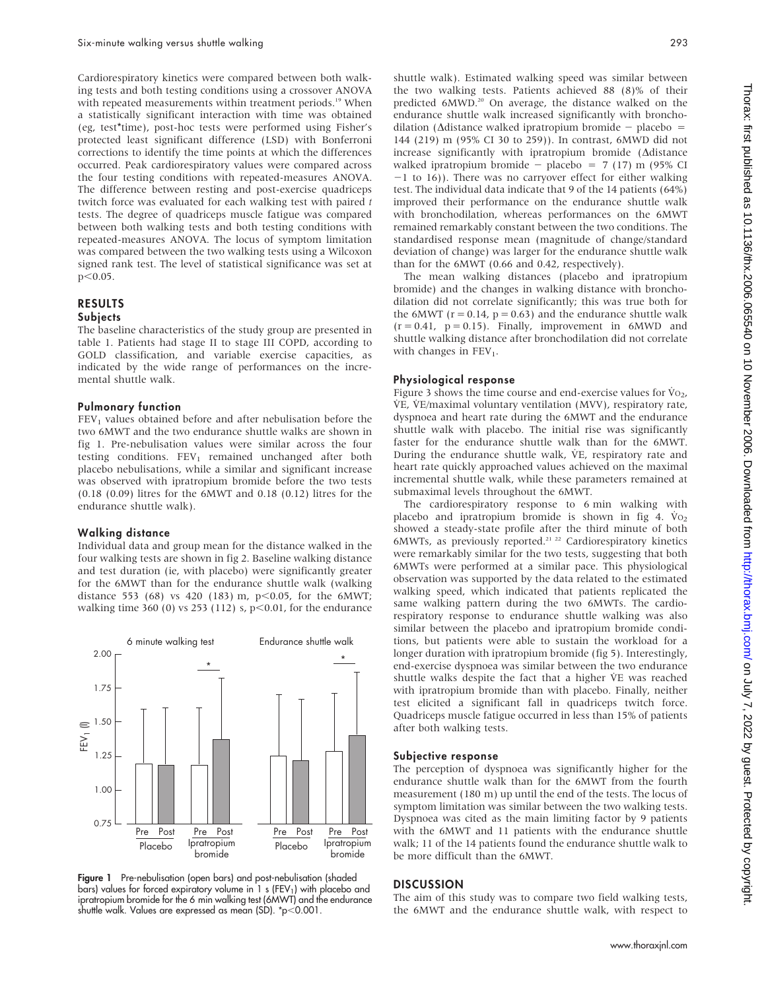Cardiorespiratory kinetics were compared between both walking tests and both testing conditions using a crossover ANOVA with repeated measurements within treatment periods.<sup>19</sup> When a statistically significant interaction with time was obtained (eg, test\*time), post-hoc tests were performed using Fisher's protected least significant difference (LSD) with Bonferroni corrections to identify the time points at which the differences occurred. Peak cardiorespiratory values were compared across the four testing conditions with repeated-measures ANOVA. The difference between resting and post-exercise quadriceps twitch force was evaluated for each walking test with paired t tests. The degree of quadriceps muscle fatigue was compared between both walking tests and both testing conditions with repeated-measures ANOVA. The locus of symptom limitation was compared between the two walking tests using a Wilcoxon signed rank test. The level of statistical significance was set at  $p<0.05$ .

## RESULTS

#### **Subjects**

The baseline characteristics of the study group are presented in table 1. Patients had stage II to stage III COPD, according to GOLD classification, and variable exercise capacities, as indicated by the wide range of performances on the incremental shuttle walk.

#### Pulmonary function

 $FEV<sub>1</sub>$  values obtained before and after nebulisation before the two 6MWT and the two endurance shuttle walks are shown in fig 1. Pre-nebulisation values were similar across the four testing conditions.  $FEV<sub>1</sub>$  remained unchanged after both placebo nebulisations, while a similar and significant increase was observed with ipratropium bromide before the two tests (0.18 (0.09) litres for the 6MWT and 0.18 (0.12) litres for the endurance shuttle walk).

#### Walking distance

Individual data and group mean for the distance walked in the four walking tests are shown in fig 2. Baseline walking distance and test duration (ie, with placebo) were significantly greater for the 6MWT than for the endurance shuttle walk (walking distance 553 (68) vs 420 (183) m, p $<$ 0.05, for the 6MWT; walking time 360 (0) vs 253 (112) s,  $p<0.01$ , for the endurance



Figure 1 Pre-nebulisation (open bars) and post-nebulisation (shaded bars) values for forced expiratory volume in 1 s (FEV<sub>1</sub>) with placebo and ipratropium bromide for the 6 min walking test (6MWT) and the endurance shuttle walk. Values are expressed as mean (SD).  $\text{*p}$  < 0.001.

shuttle walk). Estimated walking speed was similar between the two walking tests. Patients achieved 88 (8)% of their predicted 6MWD.<sup>20</sup> On average, the distance walked on the endurance shuttle walk increased significantly with bronchodilation ( $\Delta$ distance walked ipratropium bromide - placebo = 144 (219) m (95% CI 30 to 259)). In contrast, 6MWD did not increase significantly with ipratropium bromide ( $\Delta$ distance walked ipratropium bromide - placebo = 7 (17) m (95% CI  $-1$  to 16)). There was no carryover effect for either walking test. The individual data indicate that 9 of the 14 patients (64%) improved their performance on the endurance shuttle walk with bronchodilation, whereas performances on the 6MWT remained remarkably constant between the two conditions. The standardised response mean (magnitude of change/standard deviation of change) was larger for the endurance shuttle walk than for the 6MWT (0.66 and 0.42, respectively).

The mean walking distances (placebo and ipratropium bromide) and the changes in walking distance with bronchodilation did not correlate significantly; this was true both for the 6MWT ( $r = 0.14$ ,  $p = 0.63$ ) and the endurance shuttle walk  $(r = 0.41, p = 0.15)$ . Finally, improvement in 6MWD and shuttle walking distance after bronchodilation did not correlate with changes in  $FEV<sub>1</sub>$ .

### Physiological response

Figure 3 shows the time course and end-exercise values for  $\dot{V}_{O_2}$ , V˙E, V˙E/maximal voluntary ventilation (MVV), respiratory rate, dyspnoea and heart rate during the 6MWT and the endurance shuttle walk with placebo. The initial rise was significantly faster for the endurance shuttle walk than for the 6MWT. During the endurance shuttle walk, VE, respiratory rate and heart rate quickly approached values achieved on the maximal incremental shuttle walk, while these parameters remained at submaximal levels throughout the 6MWT.

The cardiorespiratory response to 6 min walking with placebo and ipratropium bromide is shown in fig 4.  $V_0$ <sub>2</sub> showed a steady-state profile after the third minute of both 6MWTs, as previously reported.<sup>21-22</sup> Cardiorespiratory kinetics were remarkably similar for the two tests, suggesting that both 6MWTs were performed at a similar pace. This physiological observation was supported by the data related to the estimated walking speed, which indicated that patients replicated the same walking pattern during the two 6MWTs. The cardiorespiratory response to endurance shuttle walking was also similar between the placebo and ipratropium bromide conditions, but patients were able to sustain the workload for a longer duration with ipratropium bromide (fig 5). Interestingly, end-exercise dyspnoea was similar between the two endurance shuttle walks despite the fact that a higher VE was reached with ipratropium bromide than with placebo. Finally, neither test elicited a significant fall in quadriceps twitch force. Quadriceps muscle fatigue occurred in less than 15% of patients after both walking tests.

#### Subjective response

The perception of dyspnoea was significantly higher for the endurance shuttle walk than for the 6MWT from the fourth measurement (180 m) up until the end of the tests. The locus of symptom limitation was similar between the two walking tests. Dyspnoea was cited as the main limiting factor by 9 patients with the 6MWT and 11 patients with the endurance shuttle walk; 11 of the 14 patients found the endurance shuttle walk to be more difficult than the 6MWT.

#### **DISCUSSION**

The aim of this study was to compare two field walking tests, the 6MWT and the endurance shuttle walk, with respect to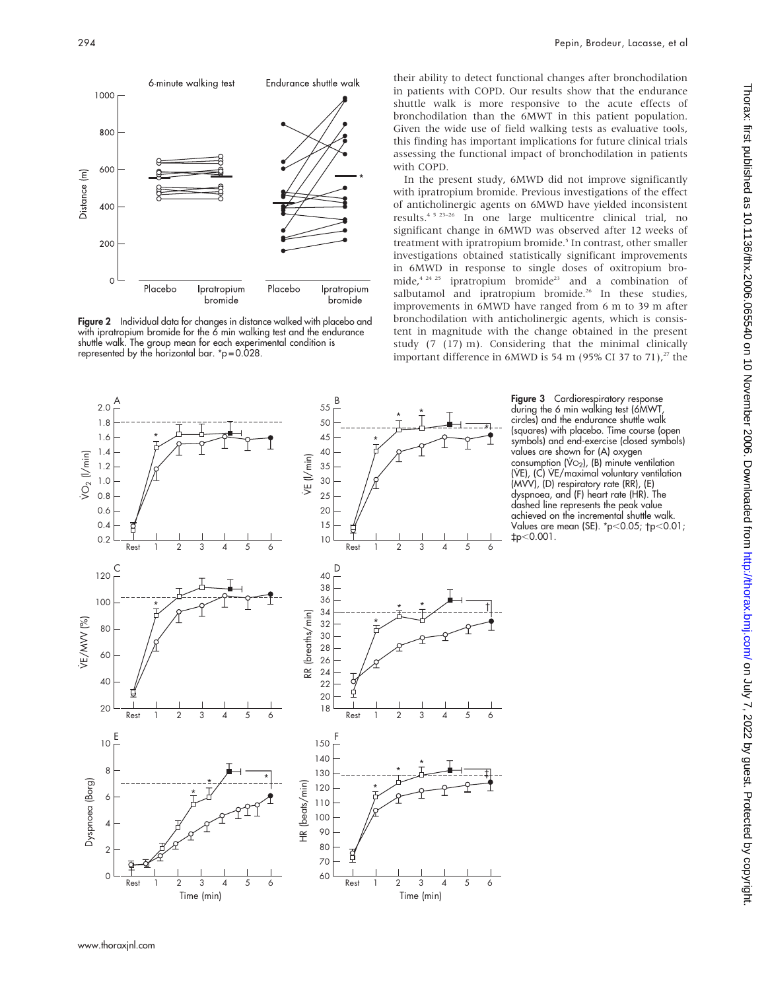

Figure 2 Individual data for changes in distance walked with placebo and with ipratropium bromide for the 6 min walking test and the endurance shuttle walk. The group mean for each experimental condition is represented by the horizontal bar. \*p = 0.028.

their ability to detect functional changes after bronchodilation in patients with COPD. Our results show that the endurance shuttle walk is more responsive to the acute effects of bronchodilation than the 6MWT in this patient population. Given the wide use of field walking tests as evaluative tools, this finding has important implications for future clinical trials assessing the functional impact of bronchodilation in patients with COPD.

In the present study, 6MWD did not improve significantly with ipratropium bromide. Previous investigations of the effect of anticholinergic agents on 6MWD have yielded inconsistent results.4 5 23–26 In one large multicentre clinical trial, no significant change in 6MWD was observed after 12 weeks of treatment with ipratropium bromide.<sup>5</sup> In contrast, other smaller investigations obtained statistically significant improvements in 6MWD in response to single doses of oxitropium bromide,<sup>4 24 25</sup> ipratropium bromide<sup>23</sup> and a combination of salbutamol and ipratropium bromide.<sup>26</sup> In these studies, improvements in 6MWD have ranged from 6 m to 39 m after bronchodilation with anticholinergic agents, which is consistent in magnitude with the change obtained in the present study (7 (17) m). Considering that the minimal clinically important difference in 6MWD is 54 m (95% CI 37 to 71),<sup>27</sup> the



Figure 3 Cardiorespiratory response during the 6 min walking test (6MWT, circles) and the endurance shuttle walk (squares) with placebo. Time course (open symbols) and end-exercise (closed symbols) values are shown for (A) oxygen consumption  $(\vee \circ_2)$ ,  $(B)$  minute ventilation (VE), (C) VE/maximal voluntary ventilation (MVV), (D) respiratory rate (RR), (E) dyspnoea, and (F) heart rate (HR). The dashed line represents the peak value achieved on the incremental shuttle walk. Values are mean (SE). \*p<0.05; †p<0.01; `p,0.001.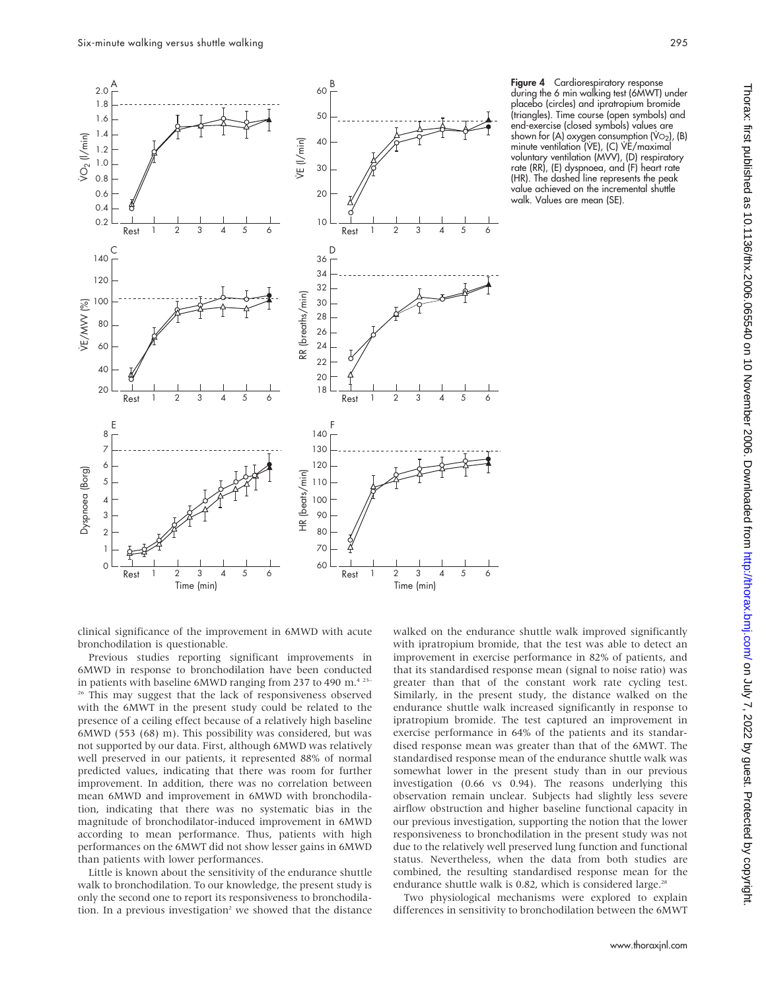

Figure 4 Cardiorespiratory response during the 6 min walking test (6MWT) under placebo (circles) and ipratropium bromide (triangles). Time course (open symbols) and end-exercise (closed symbols) values are shown for (A) oxygen consumption (V $O<sub>2</sub>$ ), (B) minute ventilation (VE), (C) VE/maximal voluntary ventilation (MVV), (D) respiratory rate (RR), (E) dyspnoea, and (F) heart rate (HR). The dashed line represents the peak value achieved on the incremental shuttle walk. Values are mean (SE).

clinical significance of the improvement in 6MWD with acute bronchodilation is questionable.

Previous studies reporting significant improvements in 6MWD in response to bronchodilation have been conducted in patients with baseline 6MWD ranging from 237 to 490 m.<sup>4 23–</sup> <sup>26</sup> This may suggest that the lack of responsiveness observed with the 6MWT in the present study could be related to the presence of a ceiling effect because of a relatively high baseline 6MWD (553 (68) m). This possibility was considered, but was not supported by our data. First, although 6MWD was relatively well preserved in our patients, it represented 88% of normal predicted values, indicating that there was room for further improvement. In addition, there was no correlation between mean 6MWD and improvement in 6MWD with bronchodilation, indicating that there was no systematic bias in the magnitude of bronchodilator-induced improvement in 6MWD according to mean performance. Thus, patients with high performances on the 6MWT did not show lesser gains in 6MWD than patients with lower performances.

Little is known about the sensitivity of the endurance shuttle walk to bronchodilation. To our knowledge, the present study is only the second one to report its responsiveness to bronchodilation. In a previous investigation<sup>2</sup> we showed that the distance walked on the endurance shuttle walk improved significantly with ipratropium bromide, that the test was able to detect an improvement in exercise performance in 82% of patients, and that its standardised response mean (signal to noise ratio) was greater than that of the constant work rate cycling test. Similarly, in the present study, the distance walked on the endurance shuttle walk increased significantly in response to ipratropium bromide. The test captured an improvement in exercise performance in 64% of the patients and its standardised response mean was greater than that of the 6MWT. The standardised response mean of the endurance shuttle walk was somewhat lower in the present study than in our previous investigation (0.66 vs 0.94). The reasons underlying this observation remain unclear. Subjects had slightly less severe airflow obstruction and higher baseline functional capacity in our previous investigation, supporting the notion that the lower responsiveness to bronchodilation in the present study was not due to the relatively well preserved lung function and functional status. Nevertheless, when the data from both studies are combined, the resulting standardised response mean for the endurance shuttle walk is 0.82, which is considered large.<sup>28</sup>

Two physiological mechanisms were explored to explain differences in sensitivity to bronchodilation between the 6MWT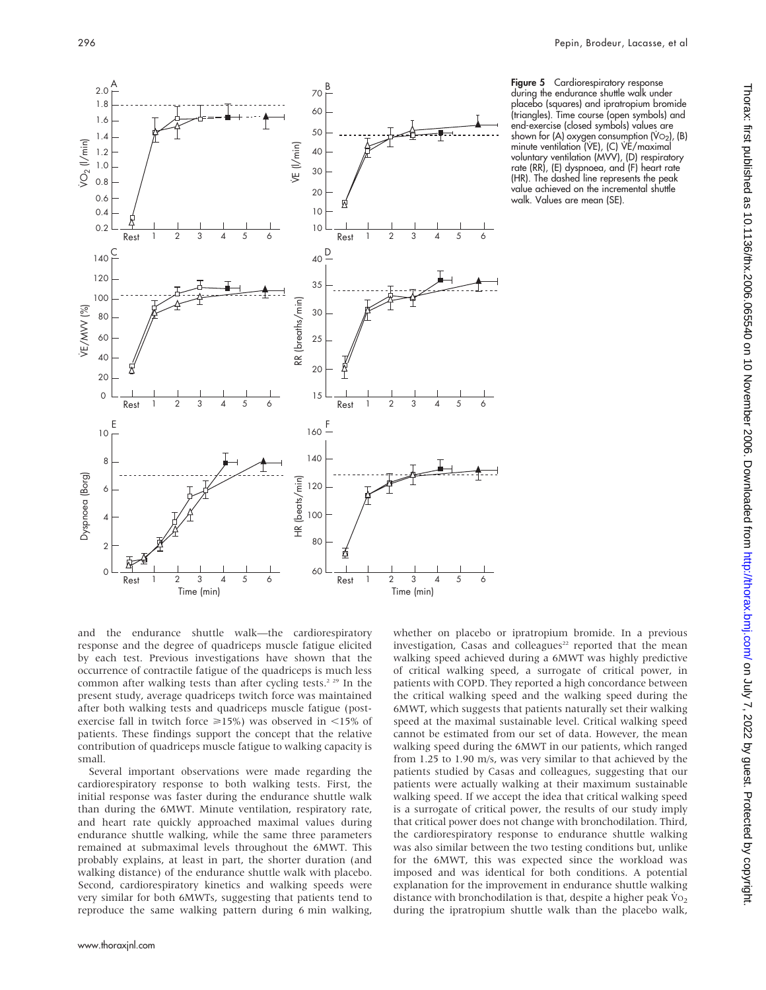

Figure 5 Cardiorespiratory response during the endurance shuttle walk under placebo (squares) and ipratropium bromide (triangles). Time course (open symbols) and end-exercise (closed symbols) values are shown for (A) oxygen consumption (V $O<sub>2</sub>$ ), (B) minute ventilation (VE), (C) VE/maximal voluntary ventilation (MVV), (D) respiratory rate (RR), (E) dyspnoea, and (F) heart rate (HR). The dashed line represents the peak value achieved on the incremental shuttle walk. Values are mean (SE).

whether on placebo or ipratropium bromide. In a previous investigation, Casas and colleagues<sup>22</sup> reported that the mean walking speed achieved during a 6MWT was highly predictive of critical walking speed, a surrogate of critical power, in patients with COPD. They reported a high concordance between the critical walking speed and the walking speed during the 6MWT, which suggests that patients naturally set their walking speed at the maximal sustainable level. Critical walking speed cannot be estimated from our set of data. However, the mean walking speed during the 6MWT in our patients, which ranged from 1.25 to 1.90 m/s, was very similar to that achieved by the patients studied by Casas and colleagues, suggesting that our patients were actually walking at their maximum sustainable

and the endurance shuttle walk—the cardiorespiratory response and the degree of quadriceps muscle fatigue elicited by each test. Previous investigations have shown that the occurrence of contractile fatigue of the quadriceps is much less common after walking tests than after cycling tests.<sup>2 29</sup> In the present study, average quadriceps twitch force was maintained after both walking tests and quadriceps muscle fatigue (postexercise fall in twitch force  $\geq 15\%$ ) was observed in <15% of patients. These findings support the concept that the relative contribution of quadriceps muscle fatigue to walking capacity is small.

Several important observations were made regarding the cardiorespiratory response to both walking tests. First, the initial response was faster during the endurance shuttle walk than during the 6MWT. Minute ventilation, respiratory rate, and heart rate quickly approached maximal values during endurance shuttle walking, while the same three parameters remained at submaximal levels throughout the 6MWT. This probably explains, at least in part, the shorter duration (and walking distance) of the endurance shuttle walk with placebo. Second, cardiorespiratory kinetics and walking speeds were very similar for both 6MWTs, suggesting that patients tend to reproduce the same walking pattern during 6 min walking,

walking speed. If we accept the idea that critical walking speed is a surrogate of critical power, the results of our study imply that critical power does not change with bronchodilation. Third, the cardiorespiratory response to endurance shuttle walking was also similar between the two testing conditions but, unlike for the 6MWT, this was expected since the workload was imposed and was identical for both conditions. A potential explanation for the improvement in endurance shuttle walking distance with bronchodilation is that, despite a higher peak  $\dot{V}_{O_2}$ during the ipratropium shuttle walk than the placebo walk,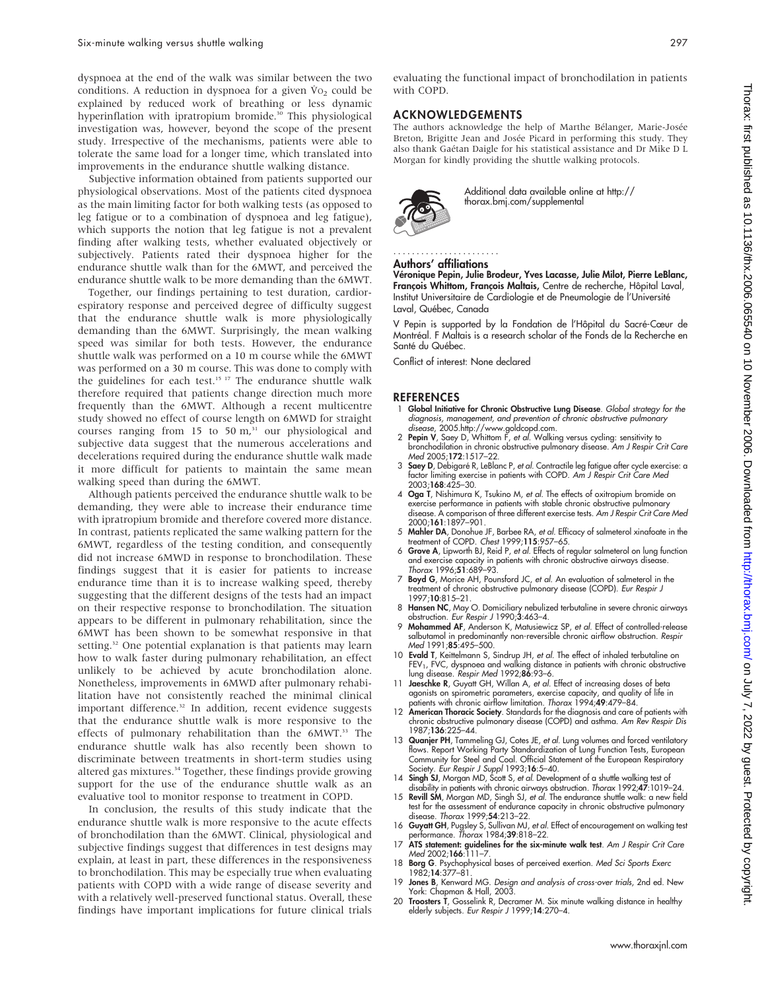dyspnoea at the end of the walk was similar between the two conditions. A reduction in dyspnoea for a given  $Vo<sub>2</sub>$  could be explained by reduced work of breathing or less dynamic hyperinflation with ipratropium bromide.<sup>30</sup> This physiological investigation was, however, beyond the scope of the present study. Irrespective of the mechanisms, patients were able to tolerate the same load for a longer time, which translated into improvements in the endurance shuttle walking distance.

Subjective information obtained from patients supported our physiological observations. Most of the patients cited dyspnoea as the main limiting factor for both walking tests (as opposed to leg fatigue or to a combination of dyspnoea and leg fatigue), which supports the notion that leg fatigue is not a prevalent finding after walking tests, whether evaluated objectively or subjectively. Patients rated their dyspnoea higher for the endurance shuttle walk than for the 6MWT, and perceived the endurance shuttle walk to be more demanding than the 6MWT.

Together, our findings pertaining to test duration, cardiorespiratory response and perceived degree of difficulty suggest that the endurance shuttle walk is more physiologically demanding than the 6MWT. Surprisingly, the mean walking speed was similar for both tests. However, the endurance shuttle walk was performed on a 10 m course while the 6MWT was performed on a 30 m course. This was done to comply with the guidelines for each test.<sup>15 17</sup> The endurance shuttle walk therefore required that patients change direction much more frequently than the 6MWT. Although a recent multicentre study showed no effect of course length on 6MWD for straight courses ranging from 15 to 50  $m<sup>31</sup>$  our physiological and subjective data suggest that the numerous accelerations and decelerations required during the endurance shuttle walk made it more difficult for patients to maintain the same mean walking speed than during the 6MWT.

Although patients perceived the endurance shuttle walk to be demanding, they were able to increase their endurance time with ipratropium bromide and therefore covered more distance. In contrast, patients replicated the same walking pattern for the 6MWT, regardless of the testing condition, and consequently did not increase 6MWD in response to bronchodilation. These findings suggest that it is easier for patients to increase endurance time than it is to increase walking speed, thereby suggesting that the different designs of the tests had an impact on their respective response to bronchodilation. The situation appears to be different in pulmonary rehabilitation, since the 6MWT has been shown to be somewhat responsive in that setting.<sup>32</sup> One potential explanation is that patients may learn how to walk faster during pulmonary rehabilitation, an effect unlikely to be achieved by acute bronchodilation alone. Nonetheless, improvements in 6MWD after pulmonary rehabilitation have not consistently reached the minimal clinical important difference.<sup>32</sup> In addition, recent evidence suggests that the endurance shuttle walk is more responsive to the effects of pulmonary rehabilitation than the 6MWT.<sup>33</sup> The endurance shuttle walk has also recently been shown to discriminate between treatments in short-term studies using altered gas mixtures.34 Together, these findings provide growing support for the use of the endurance shuttle walk as an evaluative tool to monitor response to treatment in COPD.

In conclusion, the results of this study indicate that the endurance shuttle walk is more responsive to the acute effects of bronchodilation than the 6MWT. Clinical, physiological and subjective findings suggest that differences in test designs may explain, at least in part, these differences in the responsiveness to bronchodilation. This may be especially true when evaluating patients with COPD with a wide range of disease severity and with a relatively well-preserved functional status. Overall, these findings have important implications for future clinical trials

evaluating the functional impact of bronchodilation in patients with COPD.

## ACKNOWLEDGEMENTS

The authors acknowledge the help of Marthe Bélanger, Marie-Josée Breton, Brigitte Jean and Josée Picard in performing this study. They also thank Gaétan Daigle for his statistical assistance and Dr Mike D L Morgan for kindly providing the shuttle walking protocols.



Additional data available online at http:// thorax.bmj.com/supplemental

#### Authors' affiliations

.......................

Véronique Pepin, Julie Brodeur, Yves Lacasse, Julie Milot, Pierre LeBlanc, François Whittom, François Maltais, Centre de recherche, Hôpital Laval, Institut Universitaire de Cardiologie et de Pneumologie de l'Université Laval, Québec, Canada

V Pepin is supported by la Fondation de l'Hôpital du Sacré-Cœur de Montréal. F Maltais is a research scholar of the Fonds de la Recherche en Santé du Québec.

Conflict of interest: None declared

#### **REFERENCES**

- 1 Global Initiative for Chronic Obstructive Lung Disease. Global strategy for the diagnosis, management, and prevention of chronic obstructive pulmonary disease, 2005.http://www.goldcopd.com.
- 2 Pepin V, Saey D, Whittom F, et al. Walking versus cycling: sensitivity to bronchodilation in chronic obstructive pulmonary disease. Am J Respir Crit Care Med 2005;172:1517–22.
- 3 Saey D, Debigaré R, LeBlanc P, et al. Contractile leg fatigue after cycle exercise: a factor limiting exercise in patients with COPD. Am J Respir Crit Care Med 2003;168:425–30.
- 4 Oga T, Nishimura K, Tsukino M, et al. The effects of oxitropium bromide on exercise performance in patients with stable chronic obstructive pulmonary disease. A comparison of three different exercise tests. Am J Respir Crit Care Med 2000;161:1897–901.
- 5 Mahler DA, Donohue JF, Barbee RA, et al. Efficacy of salmeterol xinafoate in the treatment of COPD. Chest 1999;115:957–65.
- 6 Grove A, Lipworth BJ, Reid P, et al. Effects of regular salmeterol on lung function and exercise capacity in patients with chronic obstructive airways disease. Thorax 1996;51:689-93.
- 7 Boyd G, Morice AH, Pounsford JC, et al. An evaluation of salmeterol in the treatment of chronic obstructive pulmonary disease (COPD). Eur Respir J 1997;10:815–21.
- 8 Hansen NC, May O. Domiciliary nebulized terbutaline in severe chronic airways obstruction. Eur Respir J 1990;3:463–4.
- 9 Mohammed AF, Anderson K, Matusiewicz SP, et al. Effect of controlled-release salbutamol in predominantly non-reversible chronic airflow obstruction. Respir Med 1991:85:495-500.
- 10 **Evald T**, Keittelmann S, Sindrup JH, *et al.* The effect of inhaled terbutaline on<br>FEV<sub>1</sub>, FVC, dyspnoea and walking distance in patients with chronic obstructive<br>lung disease. Respir Med 1992;**86**:93–6.
- 11 Jaeschke R, Guyatt GH, Willan A, et al. Effect of increasing doses of beta agonists on spirometric parameters, exercise capacity, and quality of life in
- patients with chronic airflow limitation. Thorax 1994;49:479–84.<br>12 **American Thoracic Society**. Standards for the diagnosis and care of patients with chronic obstructive pulmonary disease (COPD) and asthma. Am Rev Respir Dis 1987;136:225–44.
- 13 Quanjer PH, Tammeling GJ, Cotes JE, *et al.* Lung volumes and forced ventilatory<br>flows. Report Working Party Standardization of Lung Function Tests, European<br>Community for Steel and Coal. Official Statement of the Europ Society. Eur Respir J Suppl 1993;16:5-40.
- 14 Singh SJ, Morgan MD, Scott S, et al. Development of a shuttle walking test of disability in patients with chronic airways obstruction. Thorax 1992;47:1019–24.
- 15 Revill SM, Morgan MD, Singh SJ, et al. The endurance shuttle walk: a new field test for the assessment of endurance capacity in chronic obstructive pulmonary disease. Thorax 1999;54:213–22.
- 16 Guyatt GH, Pugsley S, Sullivan MJ, et al. Effect of encouragement on walking test performance. Thorax 1984;39:818–22. 17 ATS statement: guidelines for the six-minute walk test. Am J Respir Crit Care
- Med 2002;166:111-7.
- 18 Borg G. Psychophysical bases of perceived exertion. Med Sci Sports Exerc 1982;14:377–81.
- 19 Jones B, Kenward MG. Design and analysis of cross-over trials, 2nd ed. New York: Chapman & Hall, 2003.
- 20 Troosters T, Gosselink R, Decramer M. Six minute walking distance in healthy elderly subjects. Eur Respir J 1999;14:270–4.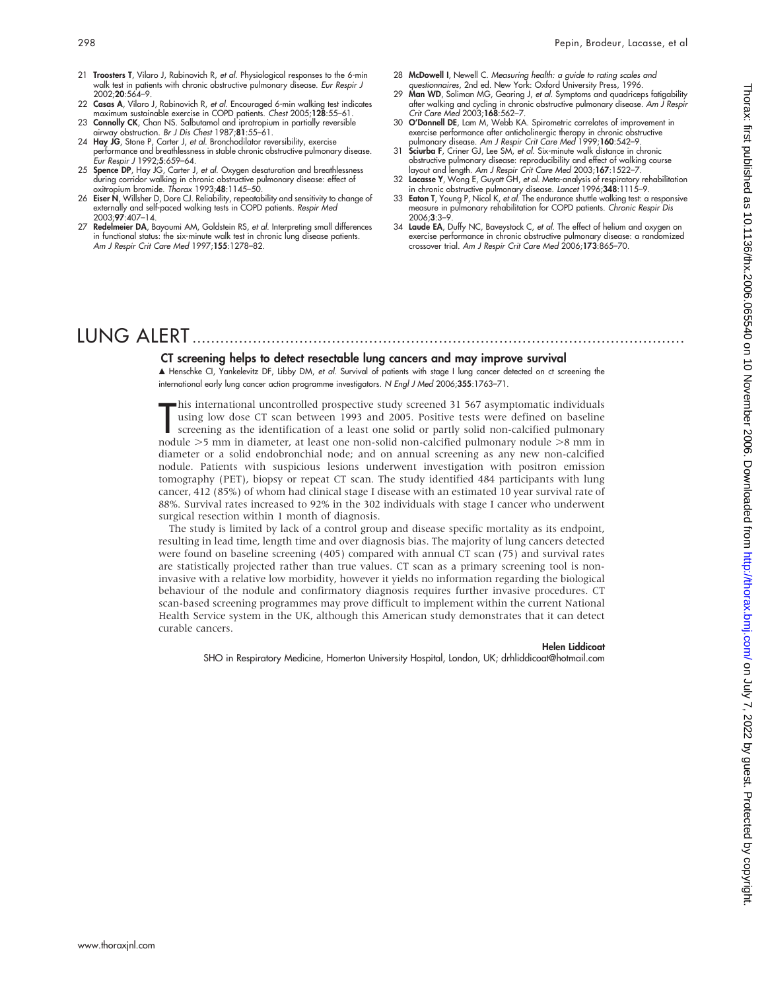- 21 Troosters T, Vilaro J, Rabinovich R, et al. Physiological responses to the 6-min walk test in patients with chronic obstructive pulmonary disease. Eur Respir J  $2002.20.564 - 9$
- 22 Casas A, Vilaro J, Rabinovich R, et al. Encouraged 6-min walking test indicates maximum sustainable exercise in COPD patients. Chest 2005;128:55–61. 23 Connolly CK, Chan NS. Salbutamol and ipratropium in partially reversible
- airway obstruction. Br J Dis Chest 1987;81:55–61.
- 24 Hay JG, Stone P, Carter J, et al. Bronchodilator reversibility, exercise performance and breathlessness in stable chronic obstructive pulmonary disease. Eur Respir J 1992;5:659–64.
- 25 Spence DP, Hay JG, Carter J, et al. Oxygen desaturation and breathlessness during corridor walking in chronic obstructive pulmonary disease: effect of oxitropium bromide. Thorax 1993;48:1145–50.
- 26 Eiser N, Willsher D, Dore CJ. Reliability, repeatability and sensitivity to change of externally and self-paced walking tests in COPD patients. Respir Med 2003;97:407–14.
- 27 Redelmeier DA, Bayoumi AM, Goldstein RS, et al. Interpreting small differences in functional status: the six-minute walk test in chronic lung disease patients. Am J Respir Crit Care Med 1997;155:1278–82.
- 28 McDowell I, Newell C. Measuring health: a guide to rating scales and questionnaires, 2nd ed. New York: Oxford University Press, 1996.
- 29 Man WD, Soliman MG, Gearing J, et al. Symptoms and quadriceps fatigability after walking and cycling in chronic obstructive pulmonary disease. Am J Respir Crit Care Med 2003;168:562–7.
- 30 O'Donnell DE, Lam M, Webb KA. Spirometric correlates of improvement in exercise performance after anticholinergic therapy in chronic obstructive pulmonary disease. Am J Respir Crit Care Med 1999;160:542-9.
- 31 Sciurba F, Criner GJ, Lee SM, et al. Six-minute walk distance in chronic obstructive pulmonary disease: reproducibility and effect of walking course layout and length. Am J Respir Crit Care Med 2003;167:1522–7.
- 32 Lacasse Y, Wong E, Guyatt GH, *et al. M*eta-analysis of respiratory rehabilitation<br>in chronic obstructive pulmonary disease. *Lancet* 1996;**348**:1115–9.<br>33 Eaton T, Young P, Nicol K, *et al.* The endurance shuttle walki
- measure in pulmonary rehabilitation for COPD patients. Chronic Respir Dis 2006;3:3–9.
- 34 Laude EA, Duffy NC, Baveystock C, et al. The effect of helium and oxygen on exercise performance in chronic obstructive pulmonary disease: a randomized crossover trial. Am J Respir Crit Care Med 2006;173:865–70.

# LUNG ALERT ..........................................................................................................

#### CT screening helps to detect resectable lung cancers and may improve survival

m Henschke CI, Yankelevitz DF, Libby DM, et al. Survival of patients with stage I lung cancer detected on ct screening the international early lung cancer action programme investigators. N Engl J Med 2006;355:1763–71.

Ins international uncontrolled prospective study screened 31 567 asymptomatic individuals<br>using low dose CT scan between 1993 and 2005. Positive tests were defined on baseline<br>screening as the identification of a least one his international uncontrolled prospective study screened 31 567 asymptomatic individuals using low dose CT scan between 1993 and 2005. Positive tests were defined on baseline screening as the identification of a least one solid or partly solid non-calcified pulmonary diameter or a solid endobronchial node; and on annual screening as any new non-calcified nodule. Patients with suspicious lesions underwent investigation with positron emission tomography (PET), biopsy or repeat CT scan. The study identified 484 participants with lung cancer, 412 (85%) of whom had clinical stage I disease with an estimated 10 year survival rate of 88%. Survival rates increased to 92% in the 302 individuals with stage I cancer who underwent surgical resection within 1 month of diagnosis.

The study is limited by lack of a control group and disease specific mortality as its endpoint, resulting in lead time, length time and over diagnosis bias. The majority of lung cancers detected were found on baseline screening (405) compared with annual CT scan (75) and survival rates are statistically projected rather than true values. CT scan as a primary screening tool is noninvasive with a relative low morbidity, however it yields no information regarding the biological behaviour of the nodule and confirmatory diagnosis requires further invasive procedures. CT scan-based screening programmes may prove difficult to implement within the current National Health Service system in the UK, although this American study demonstrates that it can detect curable cancers.

#### Helen Liddicoat

SHO in Respiratory Medicine, Homerton University Hospital, London, UK; drhliddicoat@hotmail.com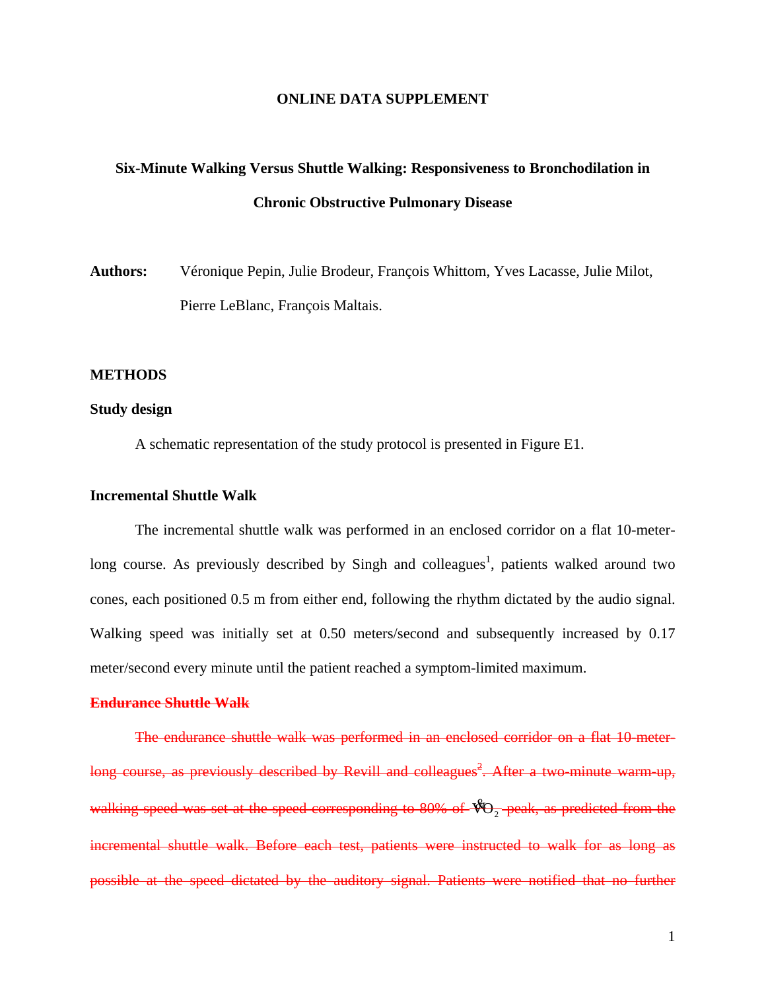## **ONLINE DATA SUPPLEMENT**

# **Six-Minute Walking Versus Shuttle Walking: Responsiveness to Bronchodilation in Chronic Obstructive Pulmonary Disease**

**Authors:** Véronique Pepin, Julie Brodeur, François Whittom, Yves Lacasse, Julie Milot, Pierre LeBlanc, François Maltais.

## **METHODS**

# **Study design**

A schematic representation of the study protocol is presented in Figure E1.

# **Incremental Shuttle Walk**

The incremental shuttle walk was performed in an enclosed corridor on a flat 10-meterlong course. As previously described by Singh and colleagues<sup>1</sup>, patients walked around two cones, each positioned 0.5 m from either end, following the rhythm dictated by the audio signal. Walking speed was initially set at 0.50 meters/second and subsequently increased by 0.17 meter/second every minute until the patient reached a symptom-limited maximum.

# **Endurance Shuttle Walk**

The endurance shuttle walk was performed in an enclosed corridor on a flat 10-meterlong course, as previously described by Revill and colleagues<sup>2</sup>. After a two minute warm up, walking speed was set at the speed corresponding to 80% of  $\sqrt[4]{\mathcal{O}_2}$  peak, as predicted from the incremental shuttle walk. Before each test, patients were instructed to walk for as long as possible at the speed dictated by the auditory signal. Patients were notified that no further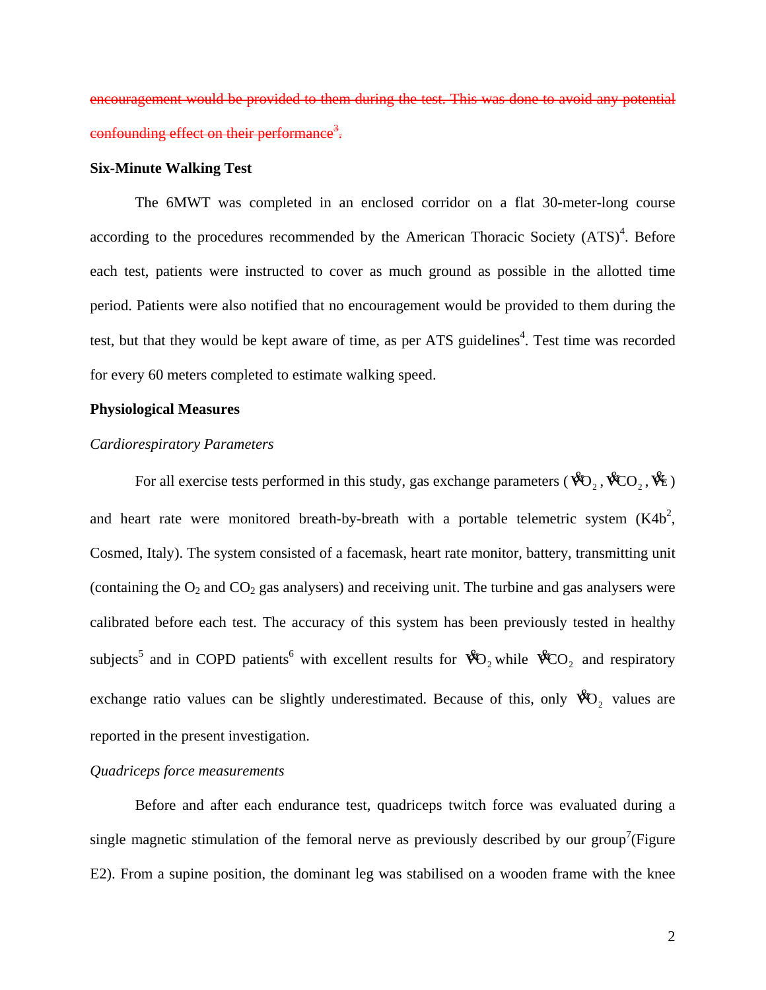encouragement would be provided to them during the test. This was done to avoid any potential confounding effect on their performance<sup>3</sup>.

## **Six-Minute Walking Test**

The 6MWT was completed in an enclosed corridor on a flat 30-meter-long course according to the procedures recommended by the American Thoracic Society  $(ATS)^4$ . Before each test, patients were instructed to cover as much ground as possible in the allotted time period. Patients were also notified that no encouragement would be provided to them during the test, but that they would be kept aware of time, as per ATS guidelines<sup>4</sup>. Test time was recorded for every 60 meters completed to estimate walking speed.

# **Physiological Measures**

## *Cardiorespiratory Parameters*

For all exercise tests performed in this study, gas exchange parameters ( $\mathcal{R}_{Q_2}, \mathcal{R}_{CO_2}, \mathcal{R}_{E}$ ) and heart rate were monitored breath-by-breath with a portable telemetric system  $(K4b^2)$ , Cosmed, Italy). The system consisted of a facemask, heart rate monitor, battery, transmitting unit (containing the  $O_2$  and  $CO_2$  gas analysers) and receiving unit. The turbine and gas analysers were calibrated before each test. The accuracy of this system has been previously tested in healthy subjects<sup>5</sup> and in COPD patients<sup>6</sup> with excellent results for  $\mathcal{R}_{Q_2}$  while  $\mathcal{R}_{QQ_2}$  and respiratory exchange ratio values can be slightly underestimated. Because of this, only  $\mathcal{R}_{Q_2}$  values are reported in the present investigation.

# *Quadriceps force measurements*

Before and after each endurance test, quadriceps twitch force was evaluated during a single magnetic stimulation of the femoral nerve as previously described by our group<sup>7</sup>(Figure E2). From a supine position, the dominant leg was stabilised on a wooden frame with the knee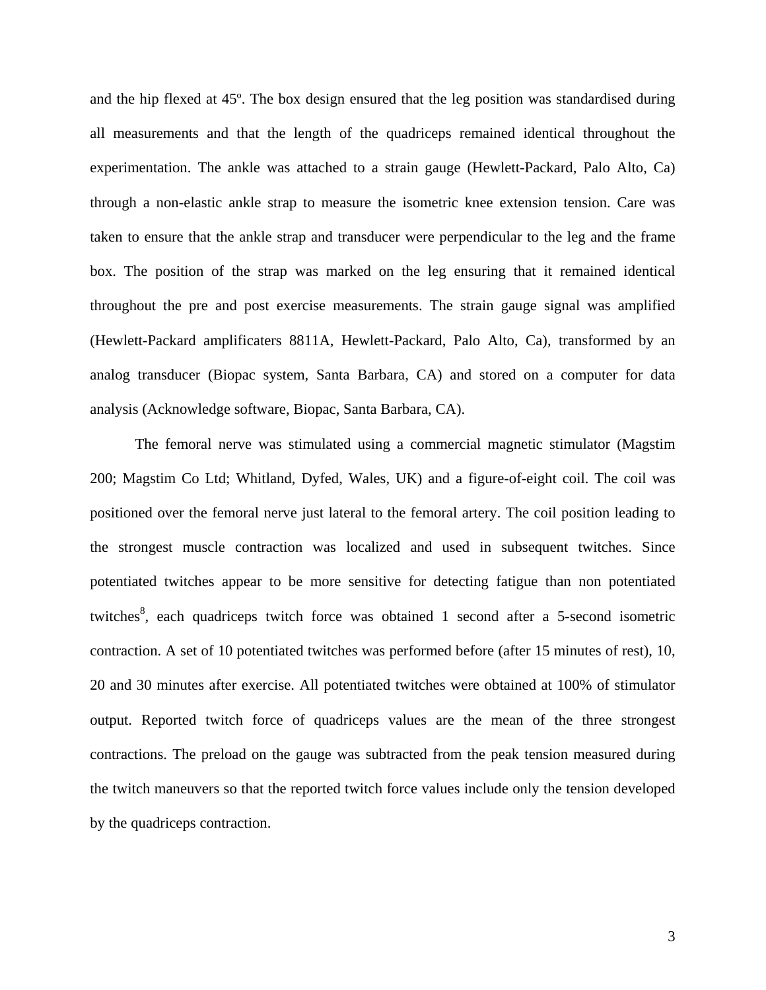and the hip flexed at 45º. The box design ensured that the leg position was standardised during all measurements and that the length of the quadriceps remained identical throughout the experimentation. The ankle was attached to a strain gauge (Hewlett-Packard, Palo Alto, Ca) through a non-elastic ankle strap to measure the isometric knee extension tension. Care was taken to ensure that the ankle strap and transducer were perpendicular to the leg and the frame box. The position of the strap was marked on the leg ensuring that it remained identical throughout the pre and post exercise measurements. The strain gauge signal was amplified (Hewlett-Packard amplificaters 8811A, Hewlett-Packard, Palo Alto, Ca), transformed by an analog transducer (Biopac system, Santa Barbara, CA) and stored on a computer for data analysis (Acknowledge software, Biopac, Santa Barbara, CA).

The femoral nerve was stimulated using a commercial magnetic stimulator (Magstim 200; Magstim Co Ltd; Whitland, Dyfed, Wales, UK) and a figure-of-eight coil. The coil was positioned over the femoral nerve just lateral to the femoral artery. The coil position leading to the strongest muscle contraction was localized and used in subsequent twitches. Since potentiated twitches appear to be more sensitive for detecting fatigue than non potentiated twitches<sup>8</sup>, each quadriceps twitch force was obtained 1 second after a 5-second isometric contraction. A set of 10 potentiated twitches was performed before (after 15 minutes of rest), 10, 20 and 30 minutes after exercise. All potentiated twitches were obtained at 100% of stimulator output. Reported twitch force of quadriceps values are the mean of the three strongest contractions. The preload on the gauge was subtracted from the peak tension measured during the twitch maneuvers so that the reported twitch force values include only the tension developed by the quadriceps contraction.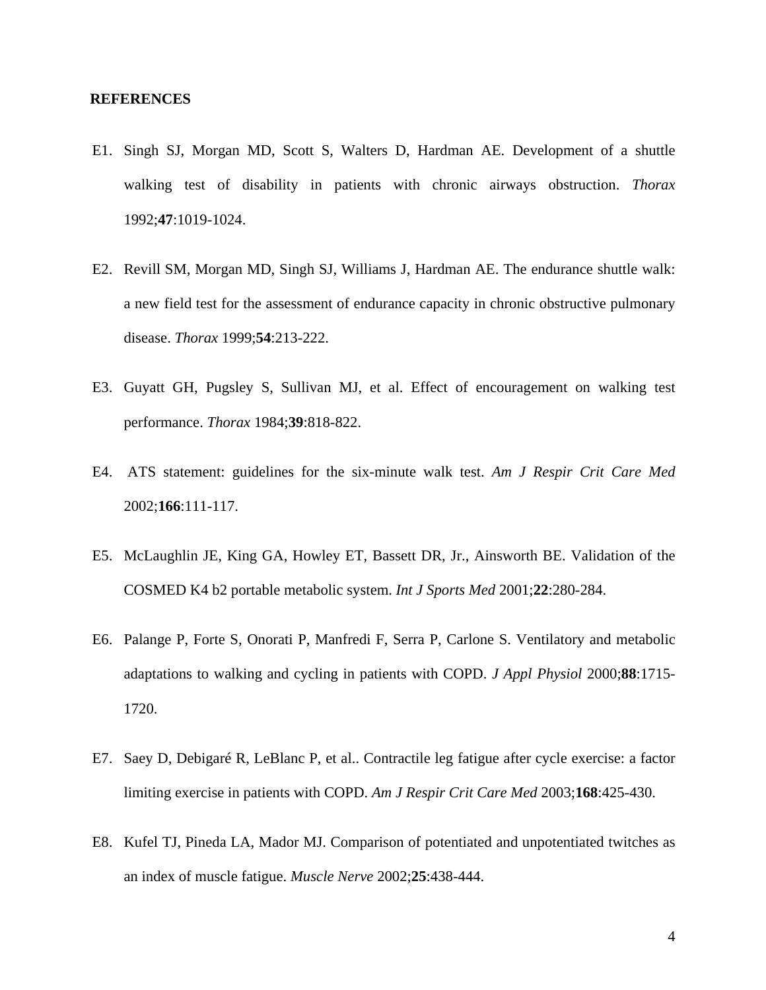## **REFERENCES**

- E1. Singh SJ, Morgan MD, Scott S, Walters D, Hardman AE. Development of a shuttle walking test of disability in patients with chronic airways obstruction. *Thorax* 1992;**47**:1019-1024.
- E2. Revill SM, Morgan MD, Singh SJ, Williams J, Hardman AE. The endurance shuttle walk: a new field test for the assessment of endurance capacity in chronic obstructive pulmonary disease. *Thorax* 1999;**54**:213-222.
- E3. Guyatt GH, Pugsley S, Sullivan MJ, et al. Effect of encouragement on walking test performance. *Thorax* 1984;**39**:818-822.
- E4. ATS statement: guidelines for the six-minute walk test. *Am J Respir Crit Care Med* 2002;**166**:111-117.
- E5. McLaughlin JE, King GA, Howley ET, Bassett DR, Jr., Ainsworth BE. Validation of the COSMED K4 b2 portable metabolic system. *Int J Sports Med* 2001;**22**:280-284.
- E6. Palange P, Forte S, Onorati P, Manfredi F, Serra P, Carlone S. Ventilatory and metabolic adaptations to walking and cycling in patients with COPD. *J Appl Physiol* 2000;**88**:1715- 1720.
- E7. Saey D, Debigaré R, LeBlanc P, et al.. Contractile leg fatigue after cycle exercise: a factor limiting exercise in patients with COPD. *Am J Respir Crit Care Med* 2003;**168**:425-430.
- E8. Kufel TJ, Pineda LA, Mador MJ. Comparison of potentiated and unpotentiated twitches as an index of muscle fatigue. *Muscle Nerve* 2002;**25**:438-444.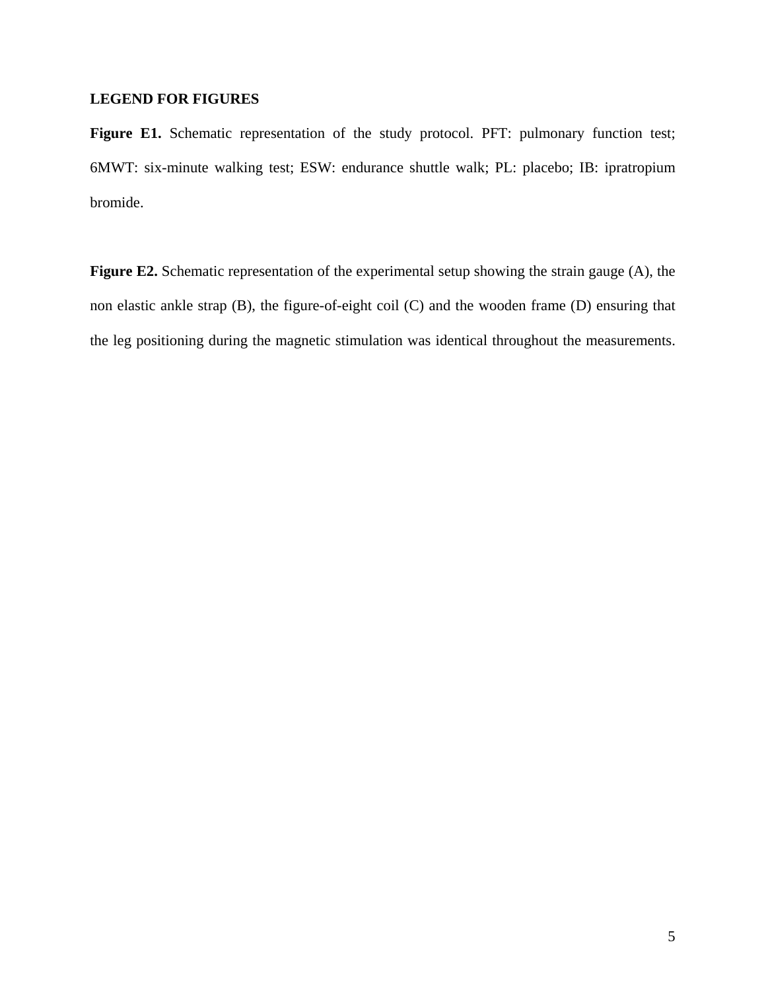# **LEGEND FOR FIGURES**

Figure E1. Schematic representation of the study protocol. PFT: pulmonary function test; 6MWT: six-minute walking test; ESW: endurance shuttle walk; PL: placebo; IB: ipratropium bromide.

**Figure E2.** Schematic representation of the experimental setup showing the strain gauge (A), the non elastic ankle strap (B), the figure-of-eight coil (C) and the wooden frame (D) ensuring that the leg positioning during the magnetic stimulation was identical throughout the measurements.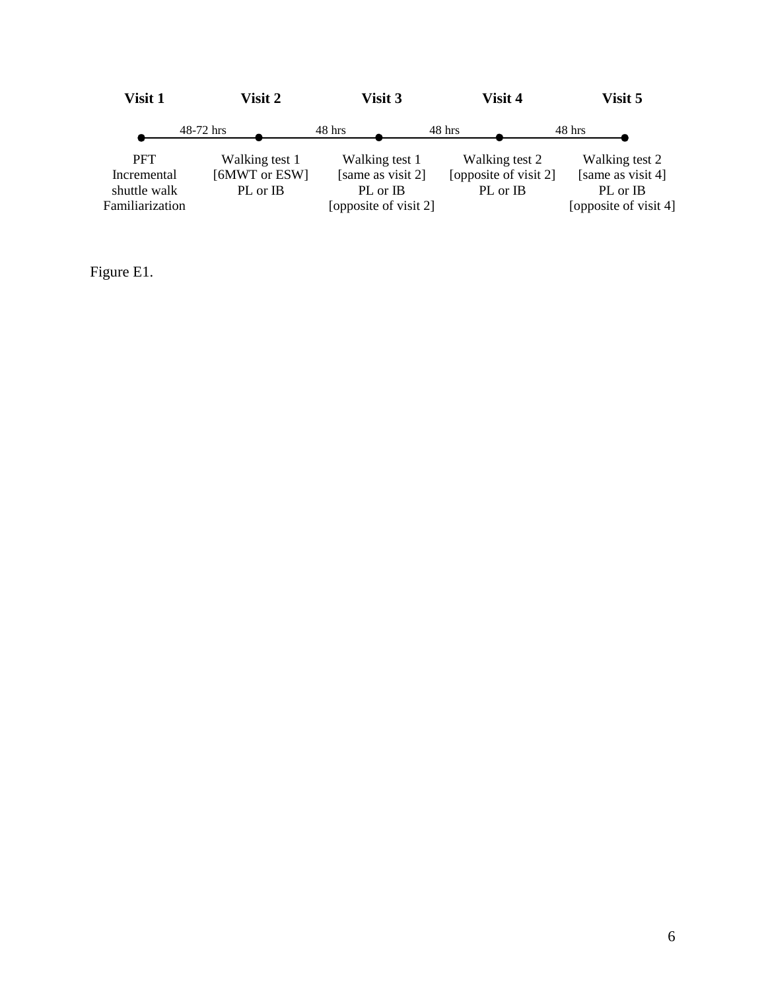| Visit 1                                                      | Visit 2                                     | Visit 3                                                                  | Visit 4                                             | Visit 5                                                                  |  |
|--------------------------------------------------------------|---------------------------------------------|--------------------------------------------------------------------------|-----------------------------------------------------|--------------------------------------------------------------------------|--|
|                                                              | 48-72 hrs                                   | 48 hrs                                                                   | 48 hrs                                              | 48 hrs                                                                   |  |
| <b>PFT</b><br>Incremental<br>shuttle walk<br>Familiarization | Walking test 1<br>[6MWT or ESW]<br>PL or IB | Walking test 1<br>[same as visit 2]<br>PL or IB<br>[opposite of visit 2] | Walking test 2<br>[opposite of visit 2]<br>PL or IB | Walking test 2<br>[same as visit 4]<br>PL or IB<br>[opposite of visit 4] |  |

Figure E1.